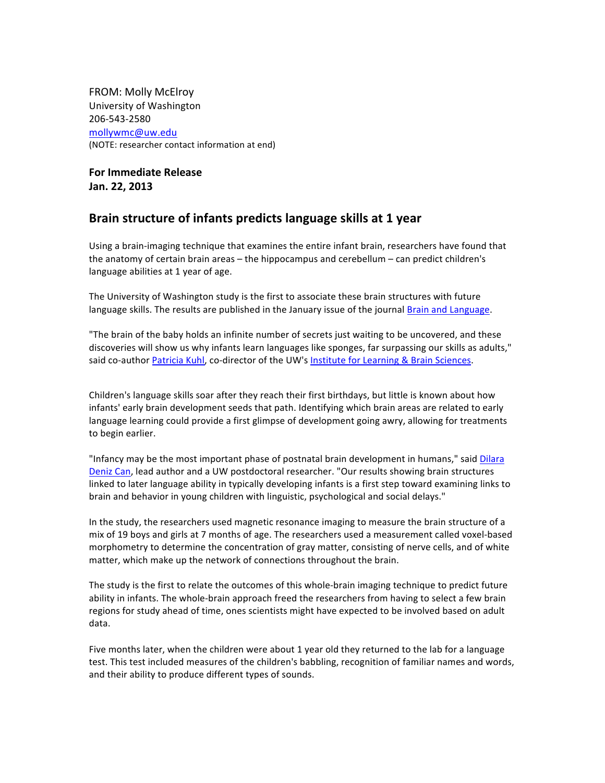FROM: Molly McElroy University of Washington 206-543-2580 mollywmc@uw.edu (NOTE: researcher contact information at end)

**For Immediate Release Jan. 22, 2013** 

## **Brain structure of infants predicts language skills at 1 year**

Using a brain-imaging technique that examines the entire infant brain, researchers have found that the anatomy of certain brain areas – the hippocampus and cerebellum – can predict children's language abilities at 1 year of age.

The University of Washington study is the first to associate these brain structures with future language skills. The results are published in the January issue of the journal Brain and Language.

"The brain of the baby holds an infinite number of secrets just waiting to be uncovered, and these discoveries will show us why infants learn languages like sponges, far surpassing our skills as adults," said co-author Patricia Kuhl, co-director of the UW's Institute for Learning & Brain Sciences.

Children's language skills soar after they reach their first birthdays, but little is known about how infants' early brain development seeds that path. Identifying which brain areas are related to early language learning could provide a first glimpse of development going awry, allowing for treatments to begin earlier.

"Infancy may be the most important phase of postnatal brain development in humans," said Dilara Deniz Can, lead author and a UW postdoctoral researcher. "Our results showing brain structures linked to later language ability in typically developing infants is a first step toward examining links to brain and behavior in young children with linguistic, psychological and social delays."

In the study, the researchers used magnetic resonance imaging to measure the brain structure of a mix of 19 boys and girls at 7 months of age. The researchers used a measurement called voxel-based morphometry to determine the concentration of gray matter, consisting of nerve cells, and of white matter, which make up the network of connections throughout the brain.

The study is the first to relate the outcomes of this whole-brain imaging technique to predict future ability in infants. The whole-brain approach freed the researchers from having to select a few brain regions for study ahead of time, ones scientists might have expected to be involved based on adult data. 

Five months later, when the children were about 1 year old they returned to the lab for a language test. This test included measures of the children's babbling, recognition of familiar names and words, and their ability to produce different types of sounds.